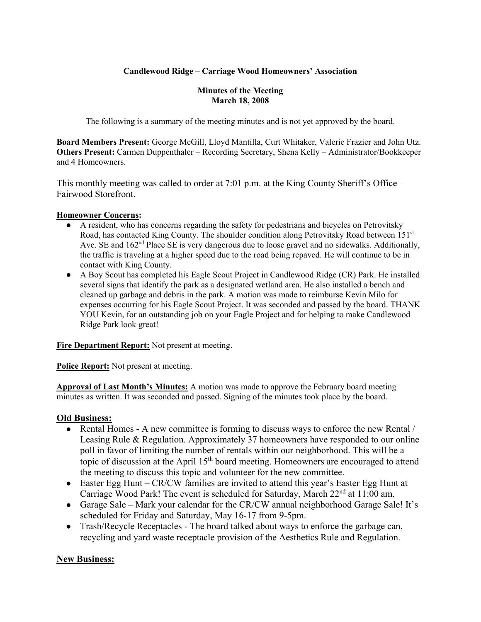# **Candlewood Ridge – Carriage Wood Homeowners' Association**

#### **Minutes of the Meeting March 18, 2008**

The following is a summary of the meeting minutes and is not yet approved by the board.

**Board Members Present:** George McGill, Lloyd Mantilla, Curt Whitaker, Valerie Frazier and John Utz. **Others Present:** Carmen Duppenthaler – Recording Secretary, Shena Kelly – Administrator/Bookkeeper and 4 Homeowners.

This monthly meeting was called to order at 7:01 p.m. at the King County Sheriff's Office – Fairwood Storefront.

#### **Homeowner Concerns:**

- A resident, who has concerns regarding the safety for pedestrians and bicycles on Petrovitsky Road, has contacted King County. The shoulder condition along Petrovitsky Road between  $151<sup>st</sup>$ Ave. SE and 162<sup>nd</sup> Place SE is very dangerous due to loose gravel and no sidewalks. Additionally, the traffic is traveling at a higher speed due to the road being repaved. He will continue to be in contact with King County.
- A Boy Scout has completed his Eagle Scout Project in Candlewood Ridge (CR) Park. He installed several signs that identify the park as a designated wetland area. He also installed a bench and cleaned up garbage and debris in the park. A motion was made to reimburse Kevin Milo for expenses occurring for his Eagle Scout Project. It was seconded and passed by the board. THANK YOU Kevin, for an outstanding job on your Eagle Project and for helping to make Candlewood Ridge Park look great!

**Fire Department Report:** Not present at meeting.

**Police Report:** Not present at meeting.

**Approval of Last Month's Minutes:** A motion was made to approve the February board meeting minutes as written. It was seconded and passed. Signing of the minutes took place by the board.

## **Old Business:**

- Rental Homes A new committee is forming to discuss ways to enforce the new Rental / Leasing Rule & Regulation. Approximately 37 homeowners have responded to our online poll in favor of limiting the number of rentals within our neighborhood. This will be a topic of discussion at the April  $15<sup>th</sup>$  board meeting. Homeowners are encouraged to attend the meeting to discuss this topic and volunteer for the new committee.
- Easter Egg Hunt CR/CW families are invited to attend this year's Easter Egg Hunt at Carriage Wood Park! The event is scheduled for Saturday, March 22<sup>nd</sup> at 11:00 am.
- Garage Sale Mark your calendar for the CR/CW annual neighborhood Garage Sale! It's scheduled for Friday and Saturday, May 16-17 from 9-5pm.
- Trash/Recycle Receptacles The board talked about ways to enforce the garbage can, recycling and yard waste receptacle provision of the Aesthetics Rule and Regulation.

## **New Business:**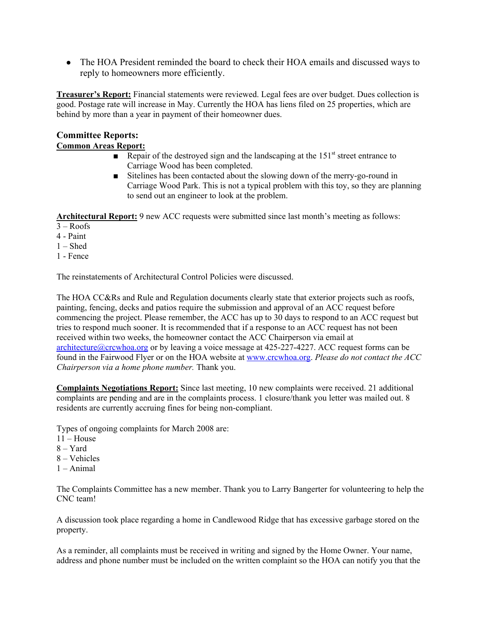• The HOA President reminded the board to check their HOA emails and discussed ways to reply to homeowners more efficiently.

**Treasurer's Report:** Financial statements were reviewed. Legal fees are over budget. Dues collection is good. Postage rate will increase in May. Currently the HOA has liens filed on 25 properties, which are behind by more than a year in payment of their homeowner dues.

# **Committee Reports: Common Areas Report:**

- Repair of the destroyed sign and the landscaping at the  $151<sup>st</sup>$  street entrance to Carriage Wood has been completed.
- Sitelines has been contacted about the slowing down of the merry-go-round in Carriage Wood Park. This is not a typical problem with this toy, so they are planning to send out an engineer to look at the problem.

**Architectural Report:** 9 new ACC requests were submitted since last month's meeting as follows:

 $3 - Roots$ 

4 - Paint

1 – Shed

1 - Fence

The reinstatements of Architectural Control Policies were discussed.

The HOA CC&Rs and Rule and Regulation documents clearly state that exterior projects such as roofs, painting, fencing, decks and patios require the submission and approval of an ACC request before commencing the project. Please remember, the ACC has up to 30 days to respond to an ACC request but tries to respond much sooner. It is recommended that if a response to an ACC request has not been received within two weeks, the homeowner contact the ACC Chairperson via email at architecture@crcwhoa.org or by leaving a voice message at 425-227-4227. ACC request forms can be found in the Fairwood Flyer or on the HOA website at www.crcwhoa.org. *Please do not contact the ACC Chairperson via a home phone number.* Thank you.

**Complaints Negotiations Report:** Since last meeting, 10 new complaints were received. 21 additional complaints are pending and are in the complaints process. 1 closure/thank you letter was mailed out. 8 residents are currently accruing fines for being non-compliant.

Types of ongoing complaints for March 2008 are:

- $11 -$ House
- 8 Yard
- 8 Vehicles
- $1 Animal$

The Complaints Committee has a new member. Thank you to Larry Bangerter for volunteering to help the CNC team!

A discussion took place regarding a home in Candlewood Ridge that has excessive garbage stored on the property.

As a reminder, all complaints must be received in writing and signed by the Home Owner. Your name, address and phone number must be included on the written complaint so the HOA can notify you that the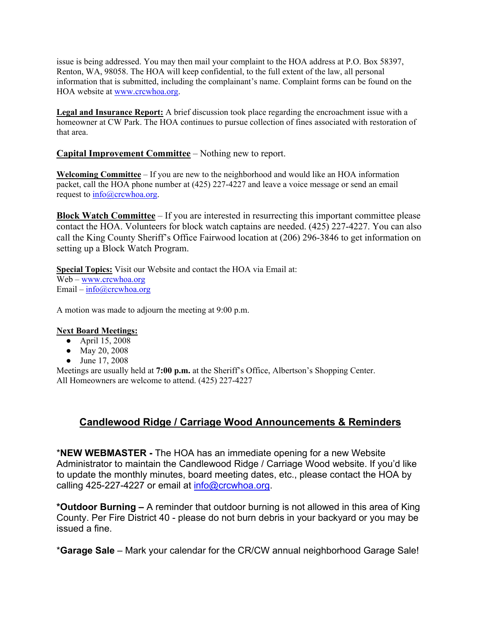issue is being addressed. You may then mail your complaint to the HOA address at P.O. Box 58397, Renton, WA, 98058. The HOA will keep confidential, to the full extent of the law, all personal information that is submitted, including the complainant's name. Complaint forms can be found on the HOA website at www.crcwhoa.org.

**Legal and Insurance Report:** A brief discussion took place regarding the encroachment issue with a homeowner at CW Park. The HOA continues to pursue collection of fines associated with restoration of that area.

### **Capital Improvement Committee** – Nothing new to report.

**Welcoming Committee** – If you are new to the neighborhood and would like an HOA information packet, call the HOA phone number at (425) 227-4227 and leave a voice message or send an email request to  $\frac{info(Qcrcwhoa.org)}{info(Qcrcwhoa.org)}$ .

**Block Watch Committee** – If you are interested in resurrecting this important committee please contact the HOA. Volunteers for block watch captains are needed. (425) 227-4227. You can also call the King County Sheriff's Office Fairwood location at (206) 296-3846 to get information on setting up a Block Watch Program.

**Special Topics:** Visit our Website and contact the HOA via Email at: Web – www.crcwhoa.org Email –  $info@crcwhoa.org$ 

A motion was made to adjourn the meeting at 9:00 p.m.

#### **Next Board Meetings:**

- April 15, 2008
- May 20, 2008
- June 17, 2008

Meetings are usually held at **7:00 p.m.** at the Sheriff's Office, Albertson's Shopping Center. All Homeowners are welcome to attend. (425) 227-4227

# **Candlewood Ridge / Carriage Wood Announcements & Reminders**

\***NEW WEBMASTER -** The HOA has an immediate opening for a new Website Administrator to maintain the Candlewood Ridge / Carriage Wood website. If you'd like to update the monthly minutes, board meeting dates, etc., please contact the HOA by calling 425-227-4227 or email at info@crcwhoa.org.

**\*Outdoor Burning –** A reminder that outdoor burning is not allowed in this area of King County. Per Fire District 40 - please do not burn debris in your backyard or you may be issued a fine.

\***Garage Sale** – Mark your calendar for the CR/CW annual neighborhood Garage Sale!